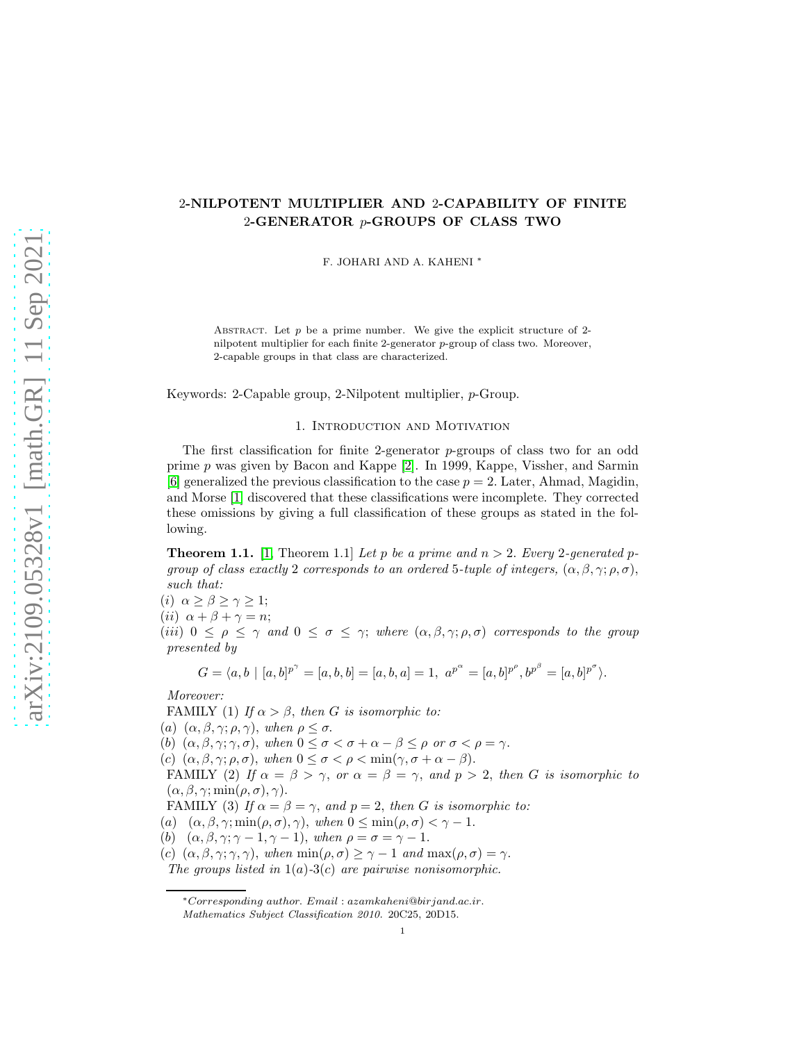# 2-NILPOTENT MULTIPLIER AND 2-CAPABILITY OF FINITE 2-GENERATOR p-GROUPS OF CLASS TWO

F. JOHARI AND A. KAHENI <sup>∗</sup>

ABSTRACT. Let  $p$  be a prime number. We give the explicit structure of 2nilpotent multiplier for each finite 2-generator p-group of class two. Moreover, 2-capable groups in that class are characterized.

Keywords: 2-Capable group, 2-Nilpotent multiplier, p-Group.

#### 1. Introduction and Motivation

The first classification for finite 2-generator  $p$ -groups of class two for an odd prime p was given by Bacon and Kappe [\[2\]](#page-11-0). In 1999, Kappe, Vissher, and Sarmin [\[6\]](#page-11-1) generalized the previous classification to the case  $p = 2$ . Later, Ahmad, Magidin, and Morse [\[1\]](#page-11-2) discovered that these classifications were incomplete. They corrected these omissions by giving a full classification of these groups as stated in the following.

<span id="page-0-0"></span>**Theorem 1.1.** [\[1,](#page-11-2) Theorem 1.1] Let p be a prime and  $n > 2$ . Every 2-generated p*group of class exactly* 2 *corresponds to an ordered* 5*-tuple of integers,*  $(\alpha, \beta, \gamma; \rho, \sigma)$ , *such that:*

(i)  $\alpha \geq \beta \geq \gamma \geq 1$ ;

(ii)  $\alpha + \beta + \gamma = n;$ 

(*iii*)  $0 \leq \rho \leq \gamma$  *and*  $0 \leq \sigma \leq \gamma$ ; *where*  $(\alpha, \beta, \gamma; \rho, \sigma)$  *corresponds to the group presented by*

$$
G=\langle a, b \ \vert \ [ a , b ] ^{ p^{ \gamma }} =[ a, b, b ]= [ a, b , a] = 1,\ a ^{ p^{ \alpha }} =[ a , b ] ^{ p^{ \rho }}, b ^{p^{ \beta } } =[ a , b ] ^{ p^{ \sigma }} \rangle.
$$

*Moreover:*

FAMILY (1) *If*  $\alpha > \beta$ , *then G is isomorphic to:* 

(a)  $(\alpha, \beta, \gamma; \rho, \gamma)$ , when  $\rho \leq \sigma$ .

(b)  $(\alpha, \beta, \gamma; \gamma, \sigma)$ , when  $0 \leq \sigma < \sigma + \alpha - \beta \leq \rho$  or  $\sigma < \rho = \gamma$ .

(c)  $(\alpha, \beta, \gamma; \rho, \sigma)$ , when  $0 \leq \sigma < \rho < \min(\gamma, \sigma + \alpha - \beta)$ .

FAMILY (2) If  $\alpha = \beta > \gamma$ , or  $\alpha = \beta = \gamma$ , and  $p > 2$ , then G is isomorphic to  $(\alpha, \beta, \gamma; \min(\rho, \sigma), \gamma).$ 

FAMILY (3) If  $\alpha = \beta = \gamma$ , and  $p = 2$ , then G is isomorphic to:

(a)  $(\alpha, \beta, \gamma; \min(\rho, \sigma), \gamma)$ , when  $0 \leq \min(\rho, \sigma) < \gamma - 1$ .

(b)  $(\alpha, \beta, \gamma; \gamma - 1, \gamma - 1)$ , when  $\rho = \sigma = \gamma - 1$ .

(c)  $(\alpha, \beta, \gamma; \gamma, \gamma)$ , when  $\min(\rho, \sigma) \geq \gamma - 1$  and  $\max(\rho, \sigma) = \gamma$ .

*The groups listed in* 1(a)*-*3(c) *are pairwise nonisomorphic.*

<sup>∗</sup>Corresponding author. Email : azamkaheni@birjand.ac.ir. Mathematics Subject Classification 2010. 20C25, 20D15.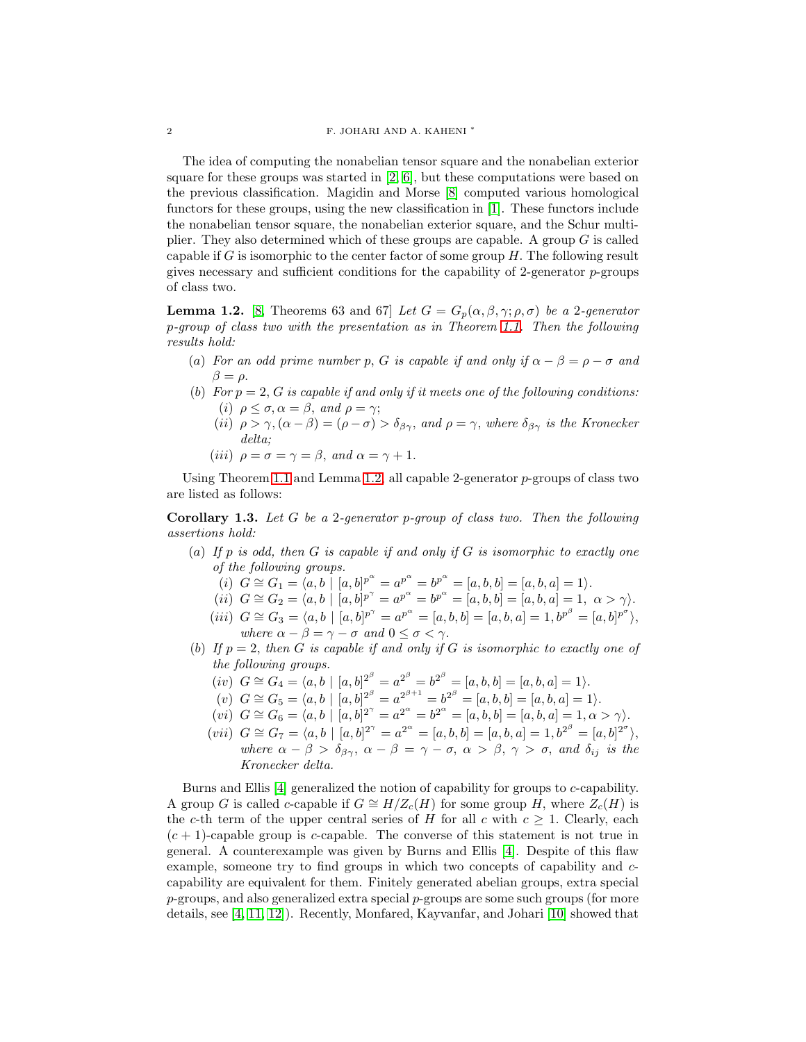The idea of computing the nonabelian tensor square and the nonabelian exterior square for these groups was started in  $[2, 6]$  $[2, 6]$ , but these computations were based on the previous classification. Magidin and Morse [\[8\]](#page-11-3) computed various homological functors for these groups, using the new classification in [\[1\]](#page-11-2). These functors include the nonabelian tensor square, the nonabelian exterior square, and the Schur multiplier. They also determined which of these groups are capable. A group  $G$  is called capable if G is isomorphic to the center factor of some group  $H$ . The following result gives necessary and sufficient conditions for the capability of 2-generator  $p$ -groups of class two.

<span id="page-1-0"></span>**Lemma 1.2.** [\[8,](#page-11-3) Theorems 63 and 67] *Let*  $G = G_p(\alpha, \beta, \gamma; \rho, \sigma)$  *be a* 2*-generator* p*-group of class two with the presentation as in Theorem [1.1.](#page-0-0) Then the following results hold:*

- (a) For an odd prime number p, G is capable if and only if  $\alpha \beta = \rho \sigma$  and  $\beta = \rho$ .
- (b) For  $p = 2$ , G is capable if and only if it meets one of the following conditions: (i)  $\rho \leq \sigma, \alpha = \beta$ , and  $\rho = \gamma$ ;
	- (ii)  $\rho > \gamma$ ,  $(\alpha \beta) = (\rho \sigma) > \delta_{\beta\gamma}$ , and  $\rho = \gamma$ , where  $\delta_{\beta\gamma}$  is the Kronecker *delta;*
	- (*iii*)  $\rho = \sigma = \gamma = \beta$ , and  $\alpha = \gamma + 1$ .

Using Theorem [1.1](#page-0-0) and Lemma [1.2,](#page-1-0) all capable 2-generator p-groups of class two are listed as follows:

<span id="page-1-1"></span>Corollary 1.3. *Let* G *be a* 2*-generator* p*-group of class two. Then the following assertions hold:*

- (a) *If* p *is odd, then* G *is capable if and only if* G *is isomorphic to exactly one of the following groups.*
	- $\tilde{a}(i) \ \ \tilde{G} \cong G_1 = \langle a, b \ \vert \ \ [ a , b ] ^{ p^{ \alpha }} = a ^{ p^{ \alpha }} = b ^{p^{ \alpha } } = [ a, b, b ]= [ a, b , a] = 1 \rangle.$
	- (ii)  $G \cong G_2 = \langle a, b \mid [a, b]^{p^{\gamma}} = a^{p^{\alpha}} = b^{p^{\alpha}} = [a, b, b] = [a, b, a] = 1, \alpha > \gamma$ .
	- (iii)  $G \cong G_3 = \langle a, b \mid [a, b]^{p^{\gamma}} = a^{p^{\alpha}} = [a, b, b] = [a, b, a] = 1, b^{p^{\beta}} = [a, b]^{p^{\sigma}} \rangle$ *where*  $\alpha - \beta = \gamma - \sigma$  *and*  $0 \leq \sigma < \gamma$ *.*
- (b) *If* p = 2, *then* G *is capable if and only if* G *is isomorphic to exactly one of the following groups.*
	- $(iv)$   $G \cong G_4 = \langle a, b \mid [a, b]^{2^{\beta}} = a^{2^{\beta}} = b^{2^{\beta}} = [a, b, b] = [a, b, a] = 1 \rangle.$
	- $(v)$   $G \cong G_5 = \langle a, b \mid [a, b]^{\mathbb{Z}^{\beta}} = a^{\mathbb{Z}^{\beta+1}} = b^{\mathbb{Z}^{\beta}} = [a, b, b] = [a, b, a] = 1 \rangle.$
	- $(vi)$   $G \cong G_6 = \langle a, b \mid [a, b]^2 \rangle = a^{2^{\alpha}} = b^{2^{\alpha}} = [a, b, b] = [a, b, a] = 1, \alpha > \gamma$ .
	- $(vii)$   $G \cong G_7 = \langle a, b \mid [a, b]^2 \rangle^{\gamma} = a^{2^{\alpha}} = [a, b, b] = [a, b, a] = 1, b^{2^{\beta}} = [a, b]^{2^{\sigma}} \rangle,$ *where*  $\alpha - \beta > \delta_{\beta\gamma}$ ,  $\alpha - \beta = \gamma - \sigma$ ,  $\alpha > \beta$ ,  $\gamma > \sigma$ , and  $\delta_{ij}$  *is the Kronecker delta.*

Burns and Ellis [\[4\]](#page-11-4) generalized the notion of capability for groups to c-capability. A group G is called c-capable if  $G \cong H/Z_c(H)$  for some group H, where  $Z_c(H)$  is the c-th term of the upper central series of H for all c with  $c > 1$ . Clearly, each  $(c + 1)$ -capable group is c-capable. The converse of this statement is not true in general. A counterexample was given by Burns and Ellis [\[4\]](#page-11-4). Despite of this flaw example, someone try to find groups in which two concepts of capability and ccapability are equivalent for them. Finitely generated abelian groups, extra special  $p$ -groups, and also generalized extra special  $p$ -groups are some such groups (for more details, see [\[4,](#page-11-4) [11,](#page-11-5) [12\]](#page-11-6)). Recently, Monfared, Kayvanfar, and Johari [\[10\]](#page-11-7) showed that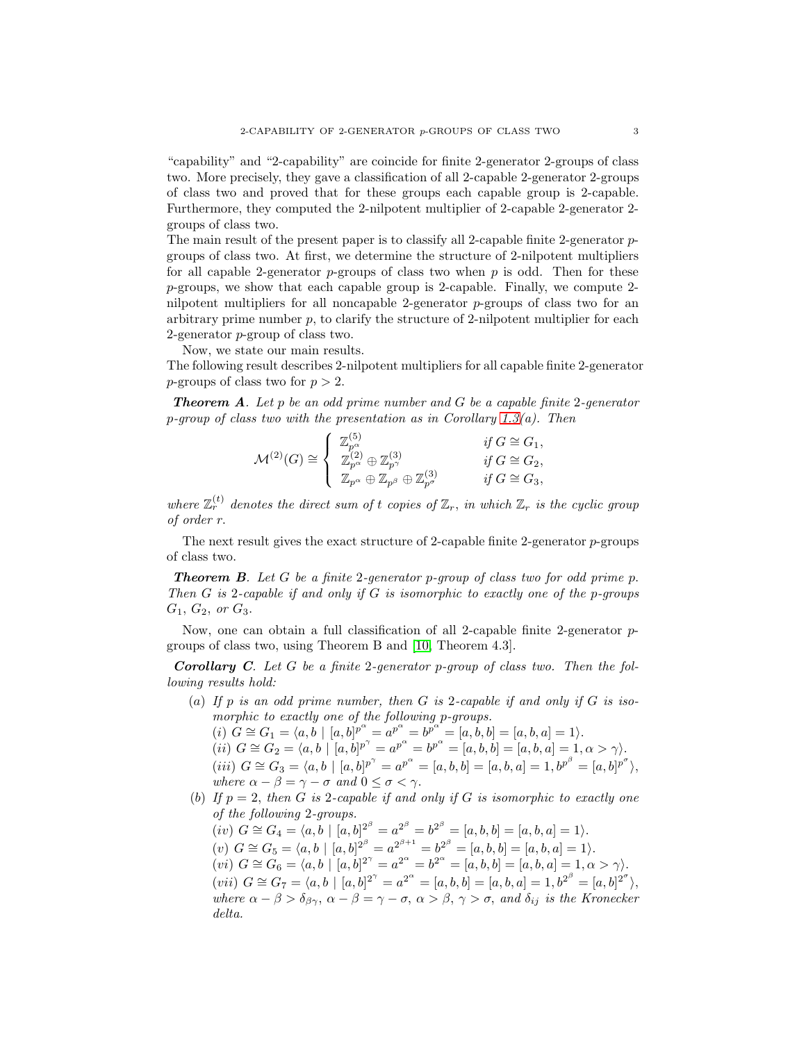"capability" and "2-capability" are coincide for finite 2-generator 2-groups of class two. More precisely, they gave a classification of all 2-capable 2-generator 2-groups of class two and proved that for these groups each capable group is 2-capable. Furthermore, they computed the 2-nilpotent multiplier of 2-capable 2-generator 2 groups of class two.

The main result of the present paper is to classify all 2-capable finite 2-generator  $p$ groups of class two. At first, we determine the structure of 2-nilpotent multipliers for all capable 2-generator  $p$ -groups of class two when  $p$  is odd. Then for these p-groups, we show that each capable group is 2-capable. Finally, we compute 2 nilpotent multipliers for all noncapable 2-generator p-groups of class two for an arbitrary prime number  $p$ , to clarify the structure of 2-nilpotent multiplier for each 2-generator p-group of class two.

Now, we state our main results.

The following result describes 2-nilpotent multipliers for all capable finite 2-generator *p*-groups of class two for  $p > 2$ .

Theorem A*. Let* p *be an odd prime number and* G *be a capable finite* 2*-generator* p*-group of class two with the presentation as in Corollary [1.3\(](#page-1-1)a). Then*

$$
\mathcal{M}^{(2)}(G) \cong \begin{cases} \mathbb{Z}_{p^{\alpha}}^{(5)} & \text{if } G \cong G_1, \\ \mathbb{Z}_{p^{\alpha}}^{(2)} \oplus \mathbb{Z}_{p^{\gamma}}^{(3)} & \text{if } G \cong G_2, \\ \mathbb{Z}_{p^{\alpha}} \oplus \mathbb{Z}_{p^{\beta}} \oplus \mathbb{Z}_{p^{\sigma}}^{(3)} & \text{if } G \cong G_3, \end{cases}
$$

where  $\mathbb{Z}_r^{(t)}$  denotes the direct sum of t copies of  $\mathbb{Z}_r$ , *in which*  $\mathbb{Z}_r$  *is the cyclic group of order* r.

The next result gives the exact structure of 2-capable finite 2-generator  $p$ -groups of class two.

Theorem B*. Let* G *be a finite* 2*-generator* p*-group of class two for odd prime* p. *Then* G *is* 2*-capable if and only if* G *is isomorphic to exactly one of the* p*-groups*  $G_1, G_2, \text{ or } G_3.$ 

Now, one can obtain a full classification of all 2-capable finite 2-generator pgroups of class two, using Theorem B and [\[10,](#page-11-7) Theorem 4.3].

Corollary C*. Let* G *be a finite* 2*-generator* p*-group of class two. Then the following results hold:*

- (a) *If* p *is an odd prime number, then* G *is* 2*-capable if and only if* G *is isomorphic to exactly one of the following* p*-groups.*
	- $(i)$   $G \cong G_1 = \langle a, b \mid [a, b]^{p^{\alpha}} = a^{p^{\alpha}} = b^{p^{\alpha}} = [a, b, b] = [a, b, a] = 1 \rangle.$ (ii)  $G \cong G_2 = \langle a, b \mid [a, b]^{p^{\gamma}} = a^{p^{\alpha}} = b^{p^{\alpha}} = [a, b, b] = [a, b, a] = 1, \alpha > \gamma$ .  $(iii)$   $G \cong G_3 = \langle a, b \mid [a, b]^{p^{\gamma}} = a^{p^{\alpha}} = [a, b, b] = [a, b, a] = 1, b^{p^{\beta}} = [a, b]^{p^{\sigma}} \rangle,$ *where*  $\alpha - \beta = \gamma - \sigma$  *and*  $0 \leq \sigma < \gamma$ .
- (b) If  $p = 2$ , then G is 2-capable if and only if G is isomorphic to exactly one *of the following* 2*-groups.*

$$
(iv) \ G \cong G_4 = \langle a, b \mid [a, b]^{2^{\beta}} = a^{2^{\beta}} = b^{2^{\beta}} = [a, b, b] = [a, b, a] = 1 \rangle.
$$
  
\n
$$
(v) \ G \cong G_5 = \langle a, b \mid [a, b]^{2^{\beta}} = a^{2^{\beta+1}} = b^{2^{\beta}} = [a, b, b] = [a, b, a] = 1 \rangle.
$$
  
\n
$$
(vi) \ G \cong G_6 = \langle a, b \mid [a, b]^{2^{\gamma}} = a^{2^{\alpha}} = b^{2^{\alpha}} = [a, b, b] = [a, b, a] = 1, \alpha > \gamma \rangle.
$$
  
\n
$$
(vii) \ G \cong G_7 = \langle a, b \mid [a, b]^{2^{\gamma}} = a^{2^{\alpha}} = [a, b, b] = [a, b, a] = 1, b^{2^{\beta}} = [a, b]^{2^{\sigma}} \rangle,
$$
  
\nwhere  $\alpha - \beta > \delta_{\beta\gamma}$ ,  $\alpha - \beta = \gamma - \sigma$ ,  $\alpha > \beta$ ,  $\gamma > \sigma$ , and  $\delta_{ij}$  is the Kronecker delta.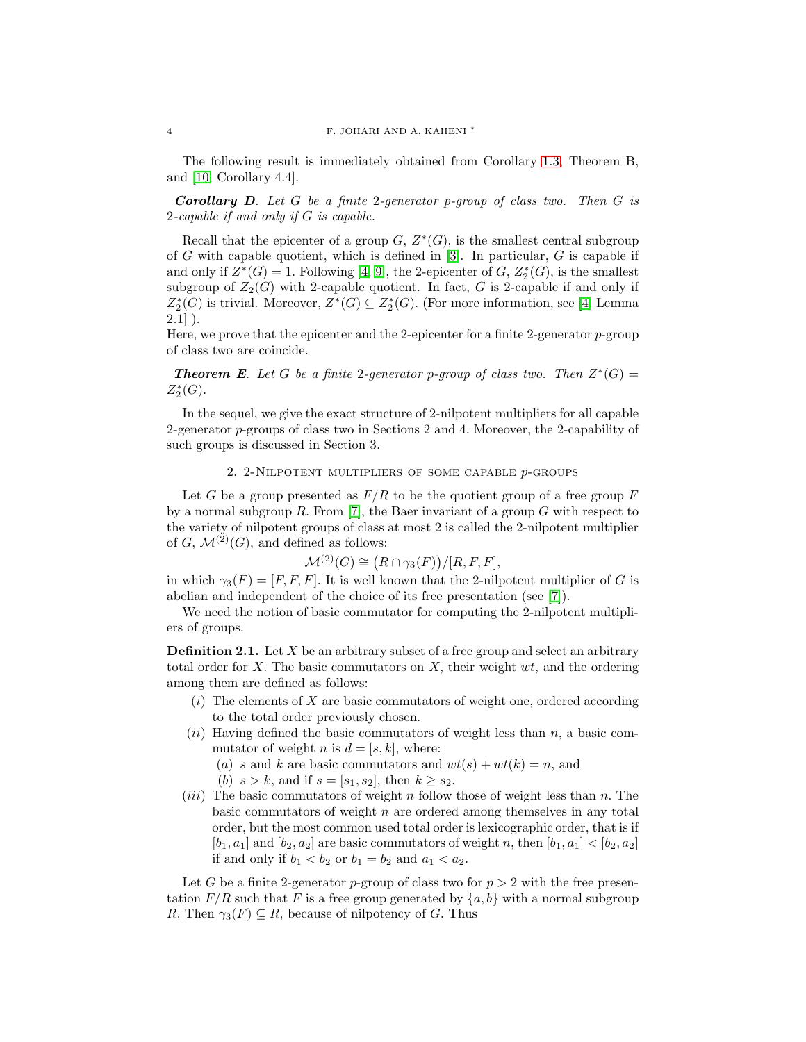The following result is immediately obtained from Corollary [1.3,](#page-1-1) Theorem B, and [\[10,](#page-11-7) Corollary 4.4].

Corollary D*. Let* G *be a finite* 2*-generator* p*-group of class two. Then* G *is* 2*-capable if and only if* G *is capable.*

Recall that the epicenter of a group  $G, Z^*(G)$ , is the smallest central subgroup of G with capable quotient, which is defined in  $[3]$ . In particular, G is capable if and only if  $Z^*(G) = 1$ . Following [\[4,](#page-11-4) [9\]](#page-11-9), the 2-epicenter of G,  $Z_2^*(G)$ , is the smallest subgroup of  $Z_2(G)$  with 2-capable quotient. In fact, G is 2-capable if and only if  $Z_2^*(G)$  is trivial. Moreover,  $Z^*(G) \subseteq Z_2^*(G)$ . (For more information, see [\[4,](#page-11-4) Lemma  $2.1$ ].

Here, we prove that the epicenter and the 2-epicenter for a finite 2-generator p-group of class two are coincide.

**Theorem E**. Let G be a finite 2-generator p-group of class two. Then  $Z^*(G)$  =  $Z_2^*(G)$ .

In the sequel, we give the exact structure of 2-nilpotent multipliers for all capable 2-generator p-groups of class two in Sections 2 and 4. Moreover, the 2-capability of such groups is discussed in Section 3.

#### 2. 2-Nilpotent multipliers of some capable p-groups

Let G be a group presented as  $F/R$  to be the quotient group of a free group F by a normal subgroup  $R$ . From [\[7\]](#page-11-10), the Baer invariant of a group  $G$  with respect to the variety of nilpotent groups of class at most 2 is called the 2-nilpotent multiplier of G,  $\mathcal{M}^{(2)}(G)$ , and defined as follows:

$$
\mathcal{M}^{(2)}(G) \cong (R \cap \gamma_3(F))/[R, F, F],
$$

in which  $\gamma_3(F) = [F, F, F]$ . It is well known that the 2-nilpotent multiplier of G is abelian and independent of the choice of its free presentation (see [\[7\]](#page-11-10)).

We need the notion of basic commutator for computing the 2-nilpotent multipliers of groups.

**Definition 2.1.** Let  $X$  be an arbitrary subset of a free group and select an arbitrary total order for X. The basic commutators on X, their weight  $wt$ , and the ordering among them are defined as follows:

- $(i)$  The elements of X are basic commutators of weight one, ordered according to the total order previously chosen.
- $(ii)$  Having defined the basic commutators of weight less than n, a basic commutator of weight n is  $d = [s, k]$ , where:
	- (a) s and k are basic commutators and  $wt(s) + wt(k) = n$ , and
	- (b)  $s > k$ , and if  $s = [s_1, s_2]$ , then  $k \geq s_2$ .
- (*iii*) The basic commutators of weight  $n$  follow those of weight less than  $n$ . The basic commutators of weight  $n$  are ordered among themselves in any total order, but the most common used total order is lexicographic order, that is if  $[b_1, a_1]$  and  $[b_2, a_2]$  are basic commutators of weight n, then  $[b_1, a_1] < [b_2, a_2]$ if and only if  $b_1 < b_2$  or  $b_1 = b_2$  and  $a_1 < a_2$ .

Let G be a finite 2-generator p-group of class two for  $p > 2$  with the free presentation  $F/R$  such that F is a free group generated by  $\{a, b\}$  with a normal subgroup R. Then  $\gamma_3(F) \subseteq R$ , because of nilpotency of G. Thus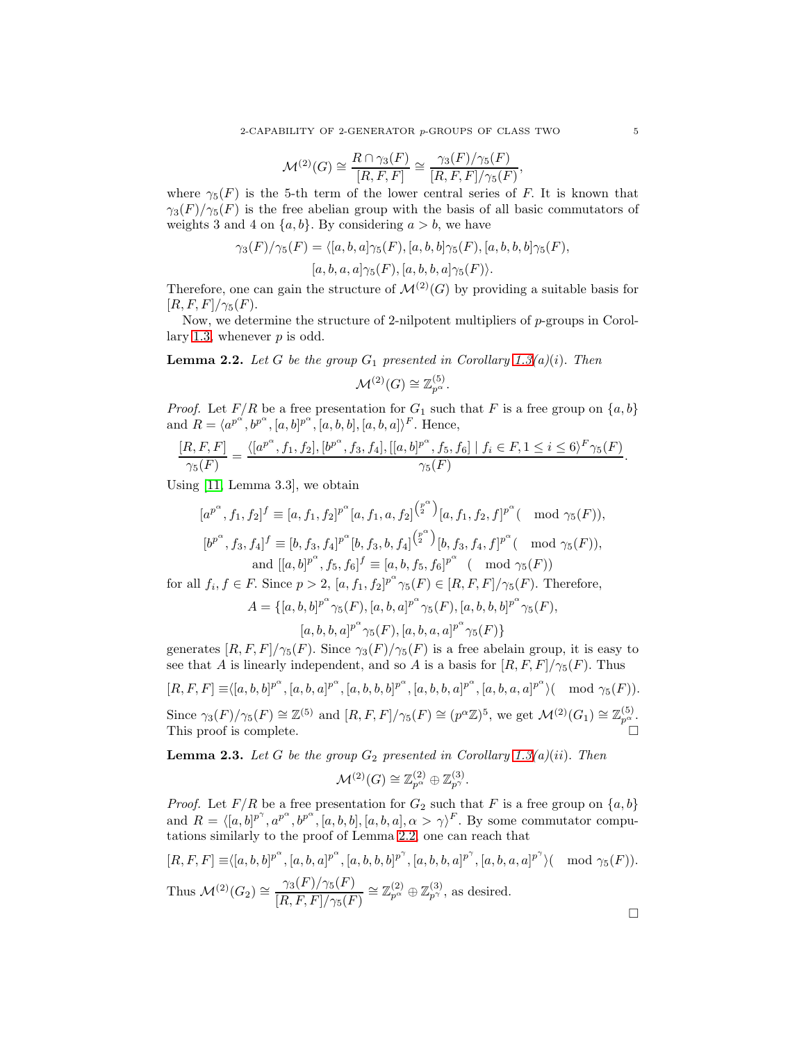$$
\mathcal{M}^{(2)}(G) \cong \frac{R \cap \gamma_3(F)}{[R, F, F]} \cong \frac{\gamma_3(F)/\gamma_5(F)}{[R, F, F]/\gamma_5(F)},
$$

where  $\gamma_5(F)$  is the 5-th term of the lower central series of F. It is known that  $\gamma_3(F)/\gamma_5(F)$  is the free abelian group with the basis of all basic commutators of weights 3 and 4 on  $\{a, b\}$ . By considering  $a > b$ , we have

$$
\gamma_3(F)/\gamma_5(F) = \langle [a, b, a]\gamma_5(F), [a, b, b]\gamma_5(F), [a, b, b, b]\gamma_5(F),
$$

$$
[a, b, a, a]\gamma_5(F), [a, b, b, a]\gamma_5(F)\rangle.
$$

Therefore, one can gain the structure of  $\mathcal{M}^{(2)}(G)$  by providing a suitable basis for  $[R, F, F]/\gamma_5(F).$ 

Now, we determine the structure of 2-nilpotent multipliers of p-groups in Corol-lary [1.3,](#page-1-1) whenever  $p$  is odd.

<span id="page-4-0"></span>**Lemma 2.2.** Let G be the group  $G_1$  presented in Corollary [1.3\(](#page-1-1)a)(i). Then

$$
\mathcal{M}^{(2)}(G) \cong \mathbb{Z}_{p^{\alpha}}^{(5)}.
$$

*Proof.* Let  $F/R$  be a free presentation for  $G_1$  such that F is a free group on  $\{a, b\}$ and  $R = \langle a^{p^{\alpha}}, b^{p^{\alpha}}, [a, b]^{p^{\alpha}}, [a, b, b], [a, b, a] \rangle^{F}$ . Hence,

$$
\frac{[R, F, F]}{\gamma_5(F)} = \frac{\langle [a^{p^{\alpha}}, f_1, f_2], [b^{p^{\alpha}}, f_3, f_4], [[a, b]^{p^{\alpha}}, f_5, f_6] \mid f_i \in F, 1 \leq i \leq 6 \rangle^F \gamma_5(F)}{\gamma_5(F)}.
$$

Using [\[11,](#page-11-5) Lemma 3.3], we obtain

$$
[a^{p^{\alpha}}, f_1, f_2]^f \equiv [a, f_1, f_2]^{p^{\alpha}} [a, f_1, a, f_2]^{p^{\alpha}} [a, f_1, f_2, f]^{p^{\alpha}} (\mod \gamma_5(F)),
$$
  
\n
$$
[b^{p^{\alpha}}, f_3, f_4]^f \equiv [b, f_3, f_4]^{p^{\alpha}} [b, f_3, b, f_4]^{p^{\alpha}} [b, f_3, f_4, f]^{p^{\alpha}} (\mod \gamma_5(F)),
$$
  
\nand  $[[a, b]^{p^{\alpha}}, f_5, f_6]^f \equiv [a, b, f_5, f_6]^{p^{\alpha}} (\mod \gamma_5(F))$ 

for all  $f_i, f \in F$ . Since  $p > 2$ ,  $[a, f_1, f_2]^{p^{\alpha}} \gamma_5(F) \in [R, F, F] / \gamma_5(F)$ . Therefore,

$$
A = \{ [a, b, b]^{p^{\alpha}} \gamma_5(F), [a, b, a]^{p^{\alpha}} \gamma_5(F), [a, b, b, b]^{p^{\alpha}} \gamma_5(F), [a, b, b, a]^{p^{\alpha}} \gamma_5(F), [a, b, a, a]^{p^{\alpha}} \gamma_5(F) \}
$$

generates  $[R, F, F]/\gamma_5(F)$ . Since  $\gamma_3(F)/\gamma_5(F)$  is a free abelain group, it is easy to see that A is linearly independent, and so A is a basis for  $[R, F, F]/\gamma_5(F)$ . Thus

$$
[R, F, F] \equiv \langle [a, b, b]^{p^{\alpha}}, [a, b, a]^{p^{\alpha}}, [a, b, b, b]^{p^{\alpha}}, [a, b, b, a]^{p^{\alpha}}, [a, b, a, a]^{p^{\alpha}} \rangle \pmod{\gamma_5(F)}.
$$
  
Since  $\gamma_3(F)/\gamma_5(F) \cong \mathbb{Z}^{(5)}$  and  $[R, F, F]/\gamma_5(F) \cong (p^{\alpha}\mathbb{Z})^5$ , we get  $\mathcal{M}^{(2)}(G_1) \cong \mathbb{Z}_{p^{\alpha}}^{(5)}$ .  
This proof is complete.

<span id="page-4-1"></span>**Lemma 2.3.** Let G be the group  $G_2$  presented in Corollary [1.3\(](#page-1-1)*a*)(*ii*). Then

$$
\mathcal{M}^{(2)}(G) \cong \mathbb{Z}_{p^{\alpha}}^{(2)} \oplus \mathbb{Z}_{p^{\gamma}}^{(3)}.
$$

*Proof.* Let  $F/R$  be a free presentation for  $G_2$  such that F is a free group on  $\{a, b\}$ and  $R = \langle [a, b]^{p^{\gamma}}, a^{p^{\alpha}}, b^{p^{\alpha}}, [a, b, b], [a, b, a], \alpha > \gamma \rangle^{F}$ . By some commutator computations similarly to the proof of Lemma [2.2,](#page-4-0) one can reach that

$$
[R, F, F] \equiv \langle [a, b, b]^{p^{\alpha}}, [a, b, a]^{p^{\alpha}}, [a, b, b, b]^{p^{\gamma}}, [a, b, b, a]^{p^{\gamma}}, [a, b, a, a]^{p^{\gamma}} \rangle \pmod{\gamma_5(F)}.
$$
  
Thus  $\mathcal{M}^{(2)}(G_2) \cong \frac{\gamma_3(F)/\gamma_5(F)}{[R, F, F]/\gamma_5(F)} \cong \mathbb{Z}_{p^{\alpha}}^{(2)} \oplus \mathbb{Z}_{p^{\gamma}}^{(3)},$  as desired.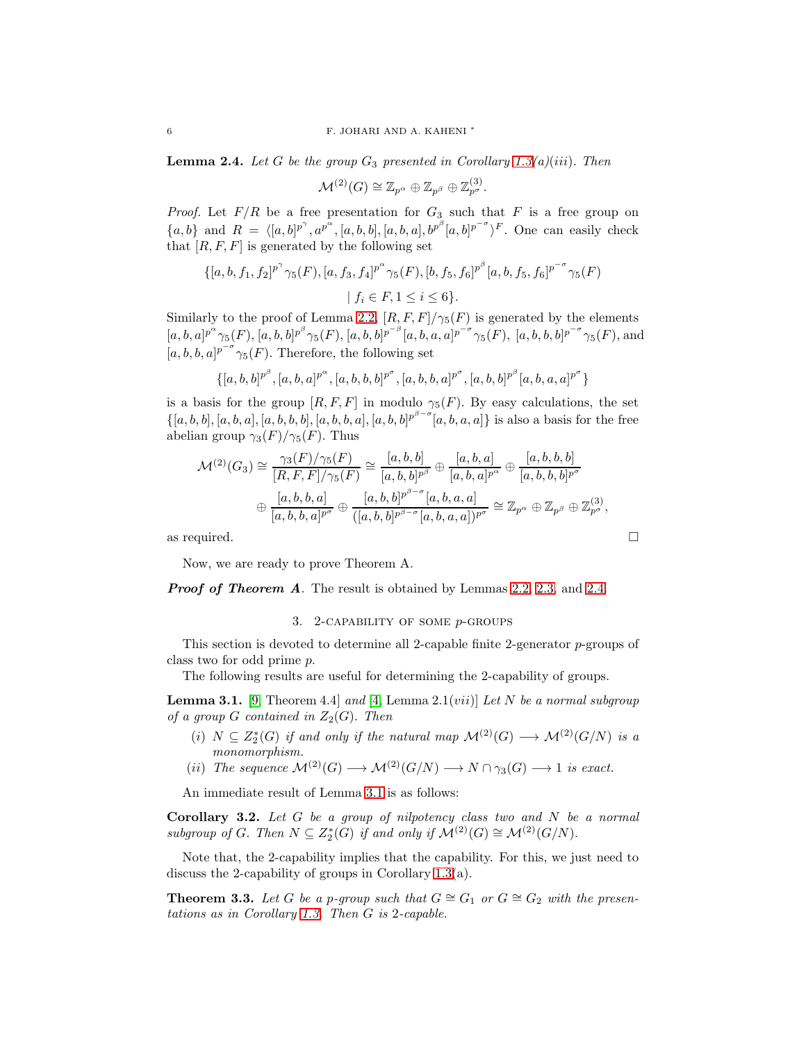<span id="page-5-0"></span>**Lemma 2.4.** *Let* G *be the group*  $G_3$  *presented in Corollary [1.3\(](#page-1-1)a)(iii). Then* 

$$
\mathcal{M}^{(2)} (G) \cong \mathbb{Z}_{p^{\alpha}} \oplus \mathbb{Z}_{p^{\beta}} \oplus \mathbb{Z}_{p^{\sigma}}^{(3)}.
$$

*Proof.* Let  $F/R$  be a free presentation for  $G_3$  such that F is a free group on  ${a, b}$  and  $R = \langle [a, b]^{p^{\gamma}}, a^{p^{\alpha}}, [a, b, b], [a, b, a], b^{p^{\beta}} [a, b]^{p^{-\sigma}} \rangle^F$ . One can easily check that  $[R, F, F]$  is generated by the following set

$$
\{ [a, b, f_1, f_2]^{p^{\gamma}} \gamma_5(F), [a, f_3, f_4]^{p^{\alpha}} \gamma_5(F), [b, f_5, f_6]^{p^{\beta}} [a, b, f_5, f_6]^{p^{-\sigma}} \gamma_5(F) \}
$$
  

$$
| f_i \in F, 1 \leq i \leq 6 \}.
$$

Similarly to the proof of Lemma [2.2,](#page-4-0)  $[R, F, F]/\gamma_5(F)$  is generated by the elements  $[a, b, a]^{p^{\alpha}} \gamma_{5}(F), [a, b, b]^{p^{\beta}} \gamma_{5}(F), [a, b, b]^{p^{-\beta}} [a, b, a, a]^{p^{-\sigma}} \gamma_{5}(F), [a, b, b, b]^{p^{-\sigma}} \gamma_{5}(F),$  and  $[a, b, b, a]^{p^{-\sigma}}$   $\gamma_5(F)$ . Therefore, the following set

$$
\{[a, b, b]^{p^{\beta}}, [a, b, a]^{p^{\alpha}}, [a, b, b, b]^{p^{\sigma}}, [a, b, b, a]^{p^{\sigma}}, [a, b, b]^{p^{\beta}}[a, b, a, a]^{p^{\sigma}}\}
$$

is a basis for the group  $[R, F, F]$  in modulo  $\gamma_5(F)$ . By easy calculations, the set  $\{[a, b, b], [a, b, a], [a, b, b, b], [a, b, b, a], [a, b, b]^p^{\beta-\sigma}[a, b, a, a]\}$  is also a basis for the free abelian group  $\gamma_3(F)/\gamma_5(F)$ . Thus

$$
\mathcal{M}^{(2)}(G_3) \cong \frac{\gamma_3(F)/\gamma_5(F)}{[R, F, F]/\gamma_5(F)} \cong \frac{[a, b, b]}{[a, b, b]^{p^{\beta}}} \oplus \frac{[a, b, a]}{[a, b, a]^{p^{\alpha}}} \oplus \frac{[a, b, b, b]}{[a, b, b, b]^{p^{\sigma}}}
$$

$$
\oplus \frac{[a, b, b, a]}{[a, b, b, a]^{p^{\sigma}}} \oplus \frac{[a, b, b]^{p^{\beta-\sigma}}[a, b, a, a]}{([a, b, b]^{p^{\beta-\sigma}}[a, b, a, a])^{p^{\sigma}}} \cong \mathbb{Z}_{p^{\alpha}} \oplus \mathbb{Z}_{p^{\beta}} \oplus \mathbb{Z}_{p^{\sigma}}^{(3)},
$$
as required.

Now, we are ready to prove Theorem A.

**Proof of Theorem A**. The result is obtained by Lemmas [2.2,](#page-4-0) [2.3,](#page-4-1) and [2.4.](#page-5-0)

### 3. 2-CAPABILITY OF SOME  $p$ -GROUPS

This section is devoted to determine all 2-capable finite 2-generator  $p$ -groups of class two for odd prime p.

The following results are useful for determining the 2-capability of groups.

<span id="page-5-1"></span>Lemma 3.1. [\[9,](#page-11-9) Theorem 4.4] *and* [\[4,](#page-11-4) Lemma 2.1(vii)] *Let* N *be a normal subgroup of a group*  $G$  *contained in*  $Z_2(G)$ *. Then* 

- (i)  $N \subseteq Z_2^*(G)$  *if and only if the natural map*  $\mathcal{M}^{(2)}(G) \longrightarrow \mathcal{M}^{(2)}(G/N)$  *is a monomorphism.*
- (ii) The sequence  $\mathcal{M}^{(2)}(G) \longrightarrow \mathcal{M}^{(2)}(G/N) \longrightarrow N \cap \gamma_3(G) \longrightarrow 1$  is exact.

An immediate result of Lemma [3.1](#page-5-1) is as follows:

<span id="page-5-2"></span>Corollary 3.2. *Let* G *be a group of nilpotency class two and* N *be a normal subgroup of* G. Then  $N \subseteq Z_2^*(G)$  *if and only if*  $\mathcal{M}^{(2)}(G) \cong \mathcal{M}^{(2)}(G/N)$ .

Note that, the 2-capability implies that the capability. For this, we just need to discuss the 2-capability of groups in Corollary [1.3\(](#page-1-1)a).

<span id="page-5-3"></span>**Theorem 3.3.** Let G be a p-group such that  $G \cong G_1$  or  $G \cong G_2$  with the presen*tations as in Corollary [1.3.](#page-1-1) Then* G *is* 2*-capable.*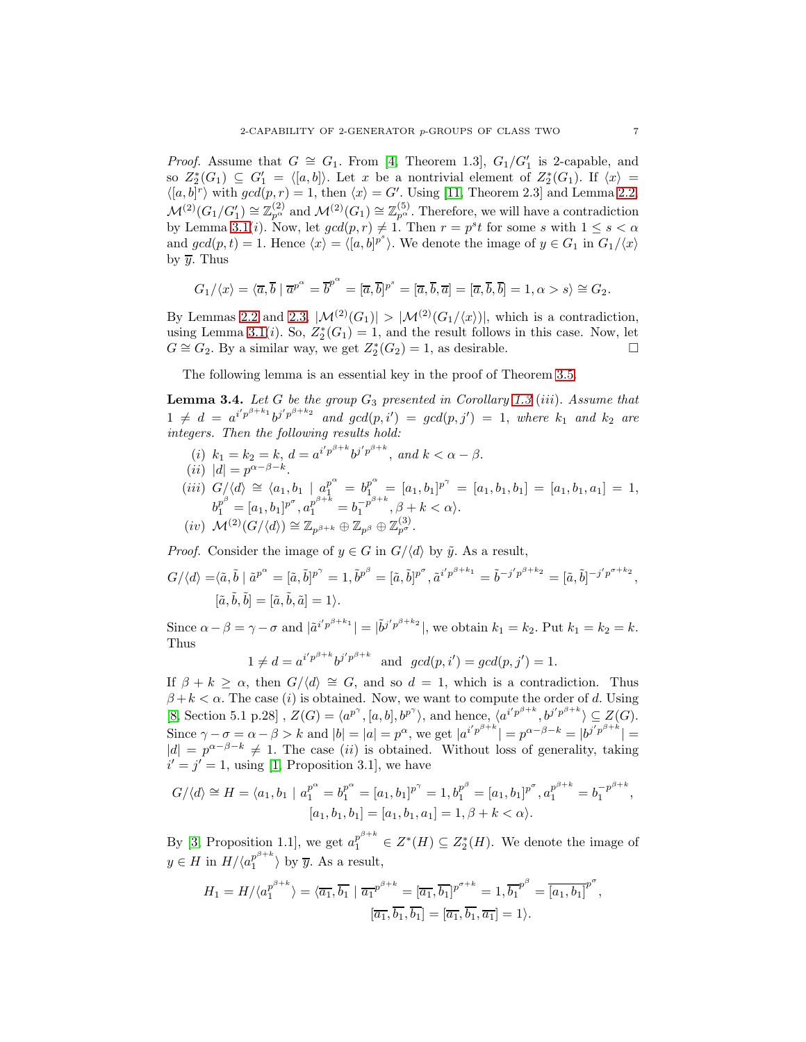*Proof.* Assume that  $G \cong G_1$ . From [\[4,](#page-11-4) Theorem 1.3],  $G_1/G_1'$  is 2-capable, and so  $Z_2^*(G_1) \subseteq G_1' = \langle [a, b] \rangle$ . Let x be a nontrivial element of  $Z_2^*(G_1)$ . If  $\langle x \rangle =$  $\langle [a, b]^r \rangle$  with  $gcd(p, r) = 1$ , then  $\langle x \rangle = G'$ . Using [\[11,](#page-11-5) Theorem 2.3] and Lemma [2.2,](#page-4-0)  $\mathcal{M}^{(2)}(G_1/G_1') \cong \mathbb{Z}_{p^{\alpha}}^{(2)}$  and  $\mathcal{M}^{(2)}(G_1) \cong \mathbb{Z}_{p^{\alpha}}^{(5)}$ . Therefore, we will have a contradiction by Lemma [3.1\(](#page-5-1)*i*). Now, let  $gcd(p,r) \neq 1$ . Then  $r = p^{s}t$  for some s with  $1 \leq s < \alpha$ and  $gcd(p, t) = 1$ . Hence  $\langle x \rangle = \langle [a, b]^{p^s} \rangle$ . We denote the image of  $y \in G_1$  in  $G_1/\langle x \rangle$ by  $\overline{y}$ . Thus

$$
G_1/\langle x\rangle = \langle \overline{a}, \overline{b} \mid \overline{a}^{p^{\alpha}} = \overline{b}^{p^{\alpha}} = [\overline{a}, \overline{b}]^{p^s} = [\overline{a}, \overline{b}, \overline{a}] = [\overline{a}, \overline{b}, \overline{b}] = 1, \alpha > s\rangle \cong G_2.
$$

By Lemmas [2.2](#page-4-0) and [2.3,](#page-4-1)  $|\mathcal{M}^{(2)}(G_1)| > |\mathcal{M}^{(2)}(G_1/\langle x\rangle)|$ , which is a contradiction, using Lemma [3.1\(](#page-5-1)*i*). So,  $Z_2^*(G_1) = 1$ , and the result follows in this case. Now, let  $G \cong G_2$ . By a similar way, we get  $Z_2^*(G_2) = 1$ , as desirable.

The following lemma is an essential key in the proof of Theorem [3.5.](#page-7-0)

<span id="page-6-0"></span>Lemma 3.4. *Let* G *be the group* G<sup>3</sup> *presented in Corollary [1.3](#page-1-1)* (iii). *Assume that*  $1 \neq d = a^{i'p^{\beta+k_1}}b^{j'p^{\beta+k_2}}$  and  $gcd(p, i') = gcd(p, j') = 1$ , where  $k_1$  and  $k_2$  are *integers. Then the following results hold:*

- (*i*)  $k_1 = k_2 = k$ ,  $d = a^{i'p^{\beta+k}}b^{j'p^{\beta+k}}$ , and  $k < \alpha \beta$ .
- $(ii) |d| = p^{\alpha-\beta-k}.$
- $(iii) \ \ G/\langle d \rangle \ \cong \ \langle a_1, b_1 \ \mid \ a_1^{p^{\alpha}} \ = \ b_1^{p^{\alpha}} \ = \ [a_1, b_1]^{p^{\gamma}} \ = \ [a_1, b_1, b_1] \ = \ [a_1, b_1, a_1] \ = \ 1,$  $b_1^{p^{\beta}} = [a_1, b_1]^{p^{\sigma}}, a_1^{p^{\beta+k}} = b_1^{-p^{\beta+k}}$  $\overline{1}^{p}$ ,  $\beta + k < \alpha$ .  $(iv) \;\; \mathcal{M}^{(2)}(G/\langle d \rangle) \cong \mathbb{Z}_{p^{\beta+k}} \oplus \mathbb{Z}_{p^{\beta}} \oplus \mathbb{Z}_{p^{\sigma}}^{(3)}.$

*Proof.* Consider the image of  $y \in G$  in  $G/\langle d \rangle$  by  $\tilde{y}$ . As a result,

$$
G/\langle d \rangle = \langle \tilde{a}, \tilde{b} | \tilde{a}^{p^{\alpha}} = [\tilde{a}, \tilde{b}]^{p^{\gamma}} = 1, \tilde{b}^{p^{\beta}} = [\tilde{a}, \tilde{b}]^{p^{\sigma}}, \tilde{a}^{i'p^{\beta+k_1}} = \tilde{b}^{-j'p^{\beta+k_2}} = [\tilde{a}, \tilde{b}]^{-j'p^{\sigma+k_2}},
$$
  

$$
[\tilde{a}, \tilde{b}, \tilde{b}] = [\tilde{a}, \tilde{b}, \tilde{a}] = 1 \rangle.
$$

Since  $\alpha - \beta = \gamma - \sigma$  and  $|\tilde{a}^{i'p^{\beta+k_1}}| = |\tilde{b}^{j'p^{\beta+k_2}}|$ , we obtain  $k_1 = k_2$ . Put  $k_1 = k_2 = k$ . Thus

$$
1 \neq d = a^{i'p^{\beta+k}}b^{j'p^{\beta+k}}
$$
 and  $gcd(p, i') = gcd(p, j') = 1$ .

If  $\beta + k \ge \alpha$ , then  $G/\langle d \rangle \cong G$ , and so  $d = 1$ , which is a contradiction. Thus  $\beta + k < \alpha$ . The case (i) is obtained. Now, we want to compute the order of d. Using [\[8,](#page-11-3) Section 5.1 p.28],  $Z(G) = \langle a^{p^{\gamma}}, [a, b], b^{p^{\gamma}} \rangle$ , and hence,  $\langle a^{i'p^{\beta+k}}, b^{j'p^{\beta+k}} \rangle \subseteq Z(G)$ . Since  $\gamma - \sigma = \alpha - \beta > k$  and  $|b| = |a| = p^{\alpha}$ , we get  $|a^{i'p^{\beta+k}}| = p^{\alpha-\beta-k} = |b^{j'p^{\beta+k}}| =$  $|d| = p^{\alpha-\beta-k} \neq 1$ . The case (ii) is obtained. Without loss of generality, taking  $i' = j' = 1$ , using [\[1,](#page-11-2) Proposition 3.1], we have

$$
G/\langle d\rangle \cong H = \langle a_1, b_1 \mid a_1^{p^{\alpha}} = b_1^{p^{\alpha}} = [a_1, b_1]^{p^{\gamma}} = 1, b_1^{p^{\beta}} = [a_1, b_1]^{p^{\sigma}}, a_1^{p^{\beta+k}} = b_1^{-p^{\beta+k}},
$$

$$
[a_1, b_1, b_1] = [a_1, b_1, a_1] = 1, \beta + k < \alpha\rangle.
$$

By [\[3,](#page-11-8) Proposition 1.1], we get  $a_1^{p^{\beta+k}} \in Z^*(H) \subseteq Z^*_2(H)$ . We denote the image of  $y \in H$  in  $H/\langle a_1^{p^{\beta+k}}$  $j_1^p$  by  $\overline{y}$ . As a result,

$$
H_1 = H \langle \langle a_1^{p^{\beta+k}} \rangle = \langle \overline{a_1}, \overline{b_1} \mid \overline{a_1}^{p^{\beta+k}} = [\overline{a_1}, \overline{b_1}]^{p^{\sigma+k}} = 1, \overline{b_1}^{p^{\beta}} = \overline{[a_1, b_1]}^{p^{\sigma}},
$$

$$
[\overline{a_1}, \overline{b_1}, \overline{b_1}] = [\overline{a_1}, \overline{b_1}, \overline{a_1}] = 1 \rangle.
$$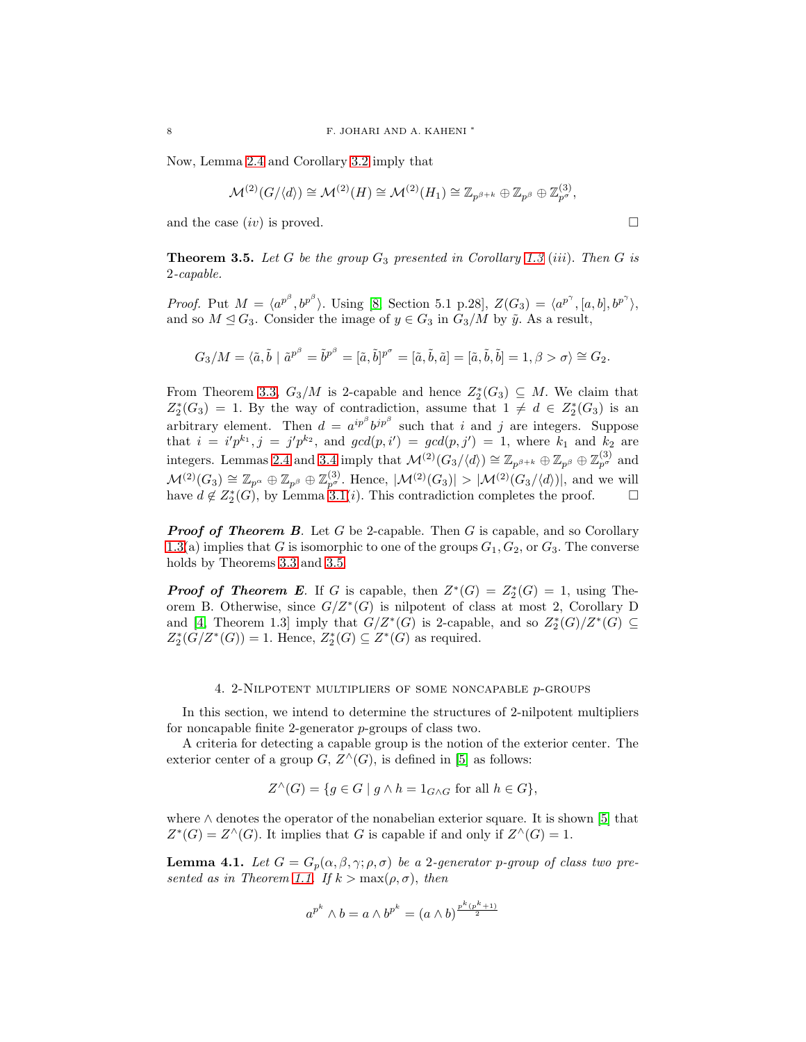Now, Lemma [2.4](#page-5-0) and Corollary [3.2](#page-5-2) imply that

$$
\mathcal{M}^{(2)}(G/\langle d\rangle)\cong \mathcal{M}^{(2)}(H)\cong \mathcal{M}^{(2)}(H_1)\cong \mathbb{Z}_{p^{\beta+k}}\oplus \mathbb{Z}_{p^{\beta}}\oplus \mathbb{Z}_{p^{\sigma}}^{(3)},
$$

and the case  $(iv)$  is proved.

<span id="page-7-0"></span>**Theorem 3.5.** Let G be the group  $G_3$  presented in Corollary [1.3](#page-1-1) (iii). Then G is 2*-capable.*

*Proof.* Put  $M = \langle a^{p^{\beta}}, b^{p^{\beta}} \rangle$ . Using [\[8,](#page-11-3) Section 5.1 p.28],  $Z(G_3) = \langle a^{p^{\gamma}}, [a, b], b^{p^{\gamma}} \rangle$ , and so  $M \leq G_3$ . Consider the image of  $y \in G_3$  in  $G_3/M$  by  $\tilde{y}$ . As a result,

$$
G_3/M = \langle \tilde{a}, \tilde{b} \mid \tilde{a}^{p^{\beta}} = \tilde{b}^{p^{\beta}} = [\tilde{a}, \tilde{b}]^{p^{\sigma}} = [\tilde{a}, \tilde{b}, \tilde{a}] = [\tilde{a}, \tilde{b}, \tilde{b}] = 1, \beta > \sigma \rangle \cong G_2.
$$

From Theorem [3.3,](#page-5-3)  $G_3/M$  is 2-capable and hence  $Z_2^*(G_3) \subseteq M$ . We claim that  $Z_2^*(G_3) = 1$ . By the way of contradiction, assume that  $1 \neq d \in Z_2^*(G_3)$  is an arbitrary element. Then  $d = a^{ip^{\beta}}b^{jp^{\beta}}$  such that i and j are integers. Suppose that  $i = i'p^{k_1}, j = j'p^{k_2}$ , and  $gcd(p, i') = gcd(p, j') = 1$ , where  $k_1$  and  $k_2$  are integers. Lemmas [2.4](#page-5-0) and [3.4](#page-6-0) imply that  $\mathcal{M}^{(2)}(G_3/\langle d \rangle) \cong \mathbb{Z}_{p^{\beta+k}} \oplus \mathbb{Z}_{p^{\beta}} \oplus \mathbb{Z}_{p^{\sigma}}^{(3)}$  and  $\mathcal{M}^{(2)}(G_3) \cong \mathbb{Z}_{p^{\alpha}} \oplus \mathbb{Z}_{p^{\beta}}^{(3)}$ . Hence,  $|\mathcal{M}^{(2)}(G_3)| > |\mathcal{M}^{(2)}(G_3/\langle d\rangle)|$ , and we will have  $d \notin Z_2^*(G)$ , by Lemma [3.1\(](#page-5-1)*i*). This contradiction completes the proof.  $\square$ 

**Proof of Theorem B.** Let G be 2-capable. Then G is capable, and so Corollary [1.3\(](#page-1-1)a) implies that G is isomorphic to one of the groups  $G_1, G_2$ , or  $G_3$ . The converse holds by Theorems [3.3](#page-5-3) and [3.5.](#page-7-0)

**Proof of Theorem E**. If G is capable, then  $Z^*(G) = Z_2^*(G) = 1$ , using Theorem B. Otherwise, since  $G/Z^*(G)$  is nilpotent of class at most 2, Corollary D and [\[4,](#page-11-4) Theorem 1.3] imply that  $G/Z^*(G)$  is 2-capable, and so  $Z_2^*(G)/Z^*(G) \subseteq$  $Z_2^*(G/Z^*(G)) = 1$ . Hence,  $Z_2^*(G) \subseteq Z^*(G)$  as required.

### 4. 2-Nilpotent multipliers of some noncapable p-groups

In this section, we intend to determine the structures of 2-nilpotent multipliers for noncapable finite 2-generator p-groups of class two.

A criteria for detecting a capable group is the notion of the exterior center. The exterior center of a group  $G, Z^{\wedge}(G)$ , is defined in [\[5\]](#page-11-11) as follows:

$$
Z^{\wedge}(G) = \{ g \in G \mid g \wedge h = 1_{G \wedge G} \text{ for all } h \in G \},
$$

where ∧ denotes the operator of the nonabelian exterior square. It is shown [\[5\]](#page-11-11) that  $Z^*(G) = Z^{\wedge}(G)$ . It implies that G is capable if and only if  $Z^{\wedge}(G) = 1$ .

<span id="page-7-1"></span>**Lemma 4.1.** Let  $G = G_p(\alpha, \beta, \gamma; \rho, \sigma)$  be a 2-generator p-group of class two pre-*sented as in Theorem [1.1.](#page-0-0) If*  $k > max(\rho, \sigma)$ , *then* 

$$
a^{p^k} \wedge b = a \wedge b^{p^k} = (a \wedge b)^{\frac{p^k(p^k+1)}{2}}
$$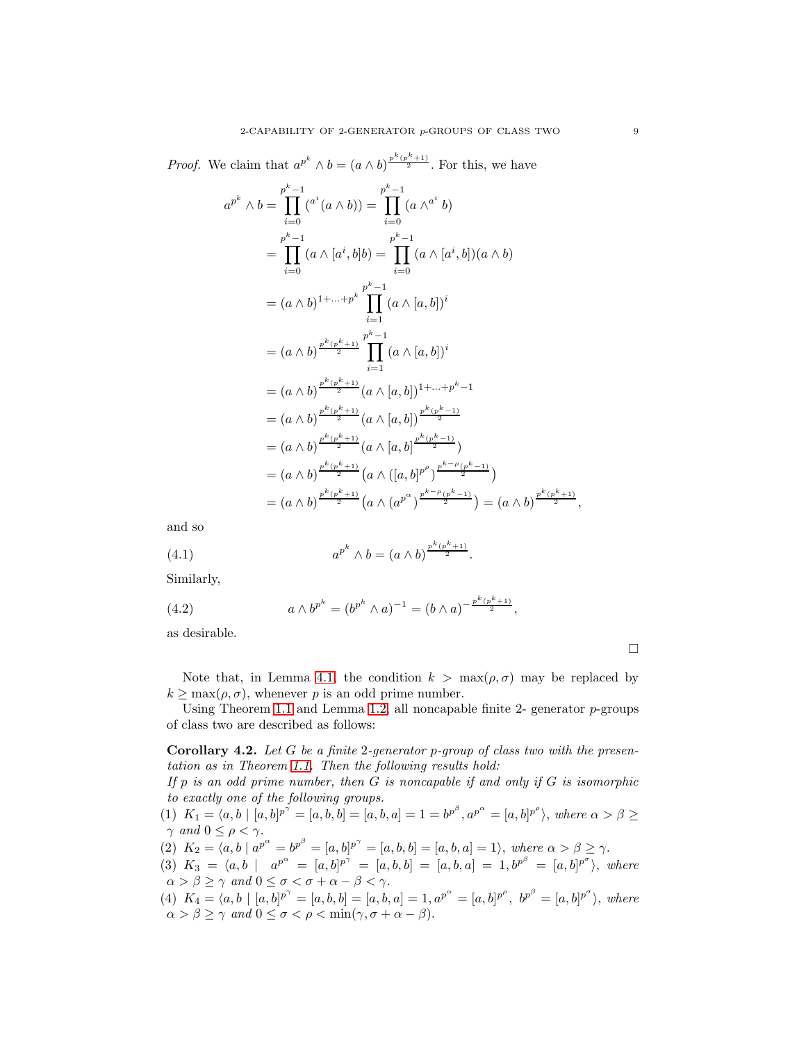*Proof.* We claim that  $a^{p^k} \wedge b = (a \wedge b)^{\frac{p^k(p^k+1)}{2}}$ . For this, we have

$$
a^{p^{k}} \wedge b = \prod_{i=0}^{p^{k}-1} (a^{i} (a \wedge b)) = \prod_{i=0}^{p^{k}-1} (a \wedge a^{i} b)
$$
  
\n
$$
= \prod_{i=0}^{p^{k}-1} (a \wedge [a^{i}, b]b) = \prod_{i=0}^{p^{k}-1} (a \wedge [a^{i}, b])(a \wedge b)
$$
  
\n
$$
= (a \wedge b)^{1+\cdots+p^{k}} \prod_{i=1}^{p^{k}-1} (a \wedge [a, b])^{i}
$$
  
\n
$$
= (a \wedge b)^{\frac{p^{k}(p^{k}+1)}{2}} \prod_{i=1}^{p^{k}-1} (a \wedge [a, b])^{i}
$$
  
\n
$$
= (a \wedge b)^{\frac{p^{k}(p^{k}+1)}{2}} (a \wedge [a, b])^{1+\cdots+p^{k}-1}
$$
  
\n
$$
= (a \wedge b)^{\frac{p^{k}(p^{k}+1)}{2}} (a \wedge [a, b])^{\frac{p^{k}(p^{k}-1)}{2}}
$$
  
\n
$$
= (a \wedge b)^{\frac{p^{k}(p^{k}+1)}{2}} (a \wedge [a, b])^{\frac{p^{k}(p^{k}-1)}{2}}
$$
  
\n
$$
= (a \wedge b)^{\frac{p^{k}(p^{k}+1)}{2}} (a \wedge ([a, b]^{p^{p}})^{\frac{p^{k-p}(p^{k}-1)}{2}})
$$
  
\n
$$
= (a \wedge b)^{\frac{p^{k}(p^{k}+1)}{2}} (a \wedge (a^{p^{\alpha}})^{\frac{p^{k-p}(p^{k}-1)}{2}}) = (a \wedge b)^{\frac{p^{k}(p^{k}+1)}{2}},
$$

and so

(4.1) 
$$
a^{p^k} \wedge b = (a \wedge b)^{\frac{p^k(p^k+1)}{2}}.
$$

Similarly,

(4.2) 
$$
a \wedge b^{p^k} = (b^{p^k} \wedge a)^{-1} = (b \wedge a)^{-\frac{p^k(p^k+1)}{2}},
$$

as desirable.

Note that, in Lemma [4.1,](#page-7-1) the condition  $k > \max(\rho, \sigma)$  may be replaced by  $k \geq \max(\rho, \sigma)$ , whenever p is an odd prime number.

Using Theorem [1.1](#page-0-0) and Lemma [1.2,](#page-1-0) all noncapable finite 2- generator  $p$ -groups of class two are described as follows:

<span id="page-8-0"></span>Corollary 4.2. *Let* G *be a finite* 2*-generator* p*-group of class two with the presentation as in Theorem [1.1.](#page-0-0) Then the following results hold:*

*If* p *is an odd prime number, then* G *is noncapable if and only if* G *is isomorphic to exactly one of the following groups.*

- (1)  $K_1 = \langle a, b \mid [a, b]^{p^{\gamma}} = [a, b, b] = [a, b, a] = 1 = b^{p^{\beta}}, a^{p^{\alpha}} = [a, b]^{p^{\rho}}\rangle$ , where  $\alpha > \beta \ge$  $\gamma$  *and*  $0 \leq \rho < \gamma$ .
- (2)  $K_2 = \langle a, b \mid a^{p^{\alpha}} = b^{p^{\beta}} = [a, b]^{p^{\gamma}} = [a, b, b] = [a, b, a] = 1 \rangle$ , where  $\alpha > \beta \ge \gamma$ .
- $(3)$   $K_3 = \langle a, b \mid a^{p^{\alpha}} = [a, b]^{p^{\gamma}} = [a, b, b] = [a, b, a] = 1, b^{p^{\beta}} = [a, b]^{p^{\sigma}}\rangle$ , where  $\alpha > \beta \geq \gamma \text{ and } 0 \leq \sigma < \sigma + \alpha - \beta < \gamma.$
- (4)  $K_4 = \langle a, b \mid [a, b]^{p^{\gamma}} = [a, b, b] = [a, b, a] = 1, a^{p^{\alpha}} = [a, b]^{p^{\rho}}, b^{p^{\beta}} = [a, b]^{p^{\sigma}} \rangle$ , where  $\alpha > \beta \geq \gamma$  and  $0 \leq \sigma < \rho < \min(\gamma, \sigma + \alpha - \beta)$ .

 $\Box$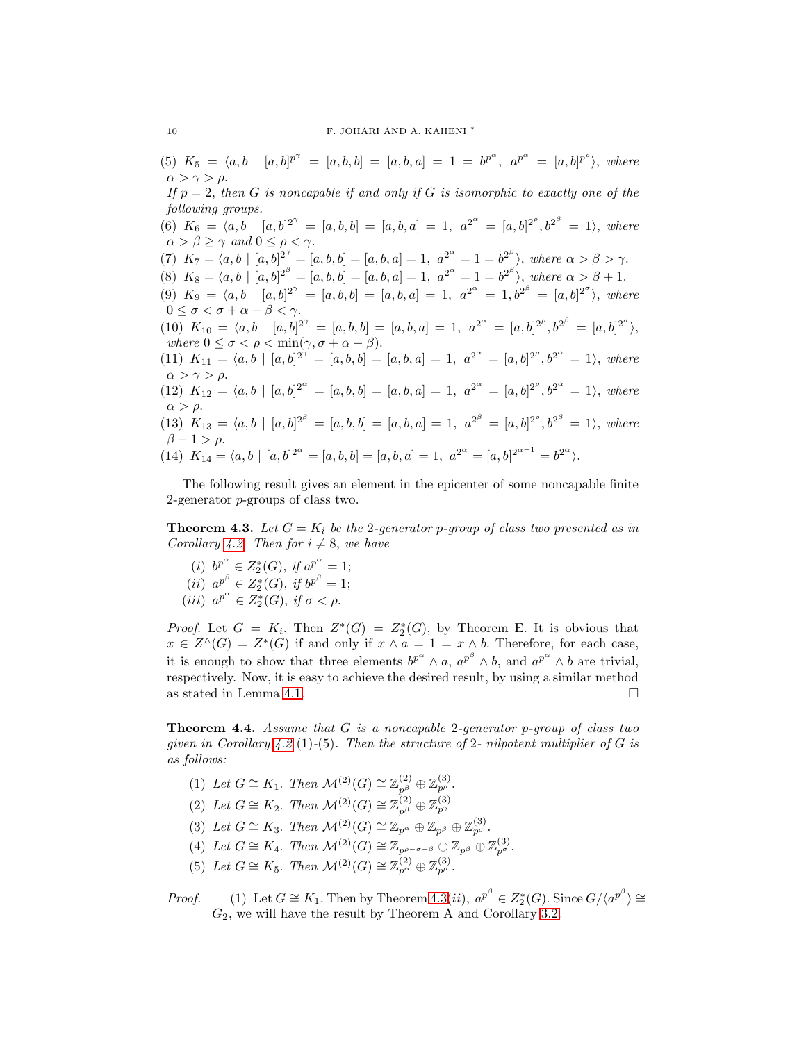(5)  $K_5 = \langle a, b \mid [a, b]^{p^{\gamma}} = [a, b, b] = [a, b, a] = 1 = b^{p^{\alpha}}, a^{p^{\alpha}} = [a, b]^{p^{\rho}}\rangle, where$  $\alpha > \gamma > \rho$ .

*If*  $p = 2$ , *then G is noncapable if and only if G is isomorphic to exactly one of the following groups.*

- (6)  $K_6 = \langle a, b \mid [a, b]^{2^{\gamma}} = [a, b, b] = [a, b, a] = 1, a^{2^{\alpha}} = [a, b]^{2^{\rho}}, b^{2^{\beta}} = 1$ , where  $\alpha > \beta \geq \gamma$  and  $0 \leq \rho < \gamma$ .
- (7)  $K_7 = \langle a, b \mid [a, b]^{2^{\gamma}} = [a, b, b] = [a, b, a] = 1, a^{2^{\alpha}} = 1 = b^{2^{\beta}}\rangle$ , where  $\alpha > \beta > \gamma$ .
- (8)  $K_8 = \langle a, b \mid [a, b]^{\mathcal{2}^\beta} = [a, b, b] = [a, b, a] = 1, a^{\mathcal{2}^\alpha} = 1 = b^{\mathcal{2}^\beta} \rangle$ , where  $\alpha > \beta + 1$ .
- (9)  $K_9 = \langle a, b \mid [a, b]^{2^{\gamma}} = [a, b, b] = [a, b, a] = 1, a^{2^{\alpha}} = 1, b^{2^{\beta}} = [a, b]^{2^{\sigma}}\rangle$ , where  $0 \leq \sigma < \sigma + \alpha - \beta < \gamma$ .
- (10)  $K_{10} = \langle a, b \mid [a, b]^{2^{\gamma}} = [a, b, b] = [a, b, a] = 1, a^{2^{\alpha}} = [a, b]^{2^{\rho}}, b^{2^{\beta}} = [a, b]^{2^{\sigma}} \rangle$ *where*  $0 \leq \sigma < \rho < \min(\gamma, \sigma + \alpha - \beta)$ .
- (11)  $K_{11} = \langle a, b \mid [a, b]^{2^{N}} = [a, b, b] = [a, b, a] = 1, a^{2^{\alpha}} = [a, b]^{2^{\rho}}, b^{2^{\alpha}} = 1$ , where  $\alpha > \gamma > \rho$ .
- (12)  $K_{12} = \langle a, b \mid [a, b]^{2^{\alpha}} = [a, b, b] = [a, b, a] = 1, a^{2^{\alpha}} = [a, b]^{2^{\rho}}, b^{2^{\alpha}} = 1$ , where  $α > ρ$ .
- $(13)$   $K_{13} = \langle a, b \mid [a, b]^{2^{\beta}} = [a, b, b] = [a, b, a] = 1, a^{2^{\beta}} = [a, b]^{2^{\rho}}, b^{2^{\beta}} = 1$ , where  $\beta - 1 > \rho$ .
- (14)  $K_{14} = \langle a, b \mid [a, b]^{2^{\alpha}} = [a, b, b] = [a, b, a] = 1, a^{2^{\alpha}} = [a, b]^{2^{\alpha-1}} = b^{2^{\alpha}}$ .

The following result gives an element in the epicenter of some noncapable finite 2-generator p-groups of class two.

<span id="page-9-0"></span>**Theorem 4.3.** Let  $G = K_i$  be the 2-generator p-group of class two presented as in *Corollary* [4.2.](#page-8-0) *Then for*  $i \neq 8$ *, we have* 

(*i*)  $b^{p^{\alpha}} \in Z_2^*(G)$ , *if*  $a^{p^{\alpha}} = 1$ ; (*ii*)  $a^{p^{\beta}} \in Z_2^*(G)$ , *if*  $b^{p^{\beta}} = 1$ ; (*iii*)  $a^{p^{\alpha}} \in Z_2^*(G)$ , *if*  $\sigma < \rho$ .

*Proof.* Let  $G = K_i$ . Then  $Z^*(G) = Z_2^*(G)$ , by Theorem E. It is obvious that  $x \in Z^{\wedge}(G) = Z^{*}(G)$  if and only if  $x \wedge a = 1 = x \wedge b$ . Therefore, for each case, it is enough to show that three elements  $b^{p^{\alpha}} \wedge a$ ,  $a^{p^{\beta}} \wedge b$ , and  $a^{p^{\alpha}} \wedge b$  are trivial, respectively. Now, it is easy to achieve the desired result, by using a similar method as stated in Lemma [4.1.](#page-7-1)  $\Box$ 

<span id="page-9-1"></span>Theorem 4.4. *Assume that* G *is a noncapable* 2*-generator* p*-group of class two given in Corollary [4.2](#page-8-0)* (1)*-*(5)*. Then the structure of* 2*- nilpotent multiplier of* G *is as follows:*

- (1) Let  $G \cong K_1$ . Then  $\mathcal{M}^{(2)}(G) \cong \mathbb{Z}_{p^{\beta}}^{(2)} \oplus \mathbb{Z}_{p^{\rho}}^{(3)}$ .
- (2) Let  $G \cong K_2$ . Then  $\mathcal{M}^{(2)}(G) \cong \mathbb{Z}_{p^{\beta}}^{(2)} \oplus \mathbb{Z}_{p^{\gamma}}^{(3)}$
- (3) Let  $G \cong K_3$ . Then  $\mathcal{M}^{(2)}(G) \cong \mathbb{Z}_{p^{\alpha}} \oplus \mathbb{Z}_{p^{\beta}} \oplus \mathbb{Z}_{p^{\sigma}}^{(3)}$ .
- (4) Let  $G \cong K_4$ . Then  $\mathcal{M}^{(2)}(G) \cong \mathbb{Z}_{p^{\rho-\sigma+\beta}} \oplus \mathbb{Z}_{p^{\beta}} \oplus \mathbb{Z}_{p^{\sigma}}^{(3)}$ .
- (5) Let  $G \cong K_5$ . Then  $\mathcal{M}^{(2)}(G) \cong \mathbb{Z}_{p^{\alpha}}^{(2)} \oplus \mathbb{Z}_{p^{\rho}}^{(3)}$ .
- *Proof.* (1) Let  $G \cong K_1$ . Then by Theorem [4.3\(](#page-9-0)*ii*),  $a^{p^{\beta}} \in Z_2^*(G)$ . Since  $G/\langle a^{p^{\beta}} \rangle \cong$  $G_2$ , we will have the result by Theorem A and Corollary [3.2.](#page-5-2)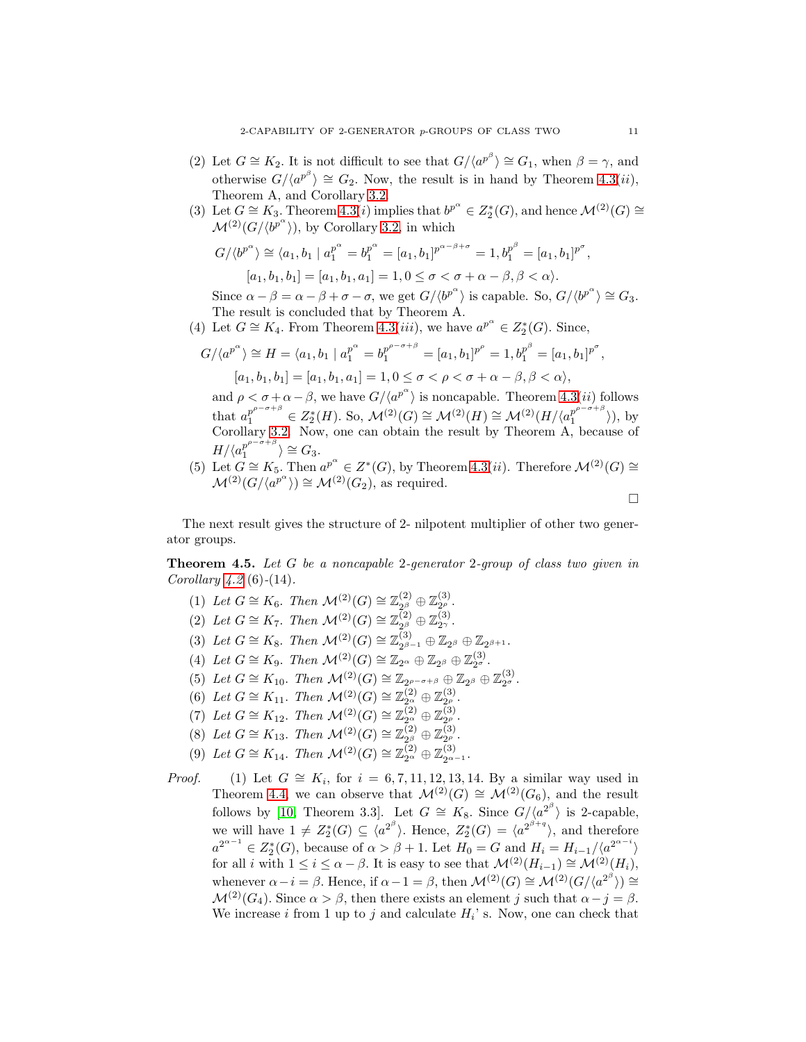- (2) Let  $G \cong K_2$ . It is not difficult to see that  $G/(a^{p^{\beta}}) \cong G_1$ , when  $\beta = \gamma$ , and otherwise  $G/\langle a^{p^{\beta}} \rangle \cong G_2$ . Now, the result is in hand by Theorem [4.3\(](#page-9-0)*ii*), Theorem A, and Corollary [3.2.](#page-5-2)
- (3) Let  $G \cong K_3$ . Theorem [4.3\(](#page-9-0)*i*) implies that  $b^{p^{\alpha}} \in Z_2^*(G)$ , and hence  $\mathcal{M}^{(2)}(G) \cong$  $\mathcal{M}^{(2)}(G/\langle b^{p^{\alpha}} \rangle)$ , by Corollary [3.2,](#page-5-2) in which

$$
G/\langle b^{p^{\alpha}}\rangle \cong \langle a_1, b_1 | a_1^{p^{\alpha}} = b_1^{p^{\alpha}} = [a_1, b_1]^{p^{\alpha-\beta+\sigma}} = 1, b_1^{p^{\beta}} = [a_1, b_1]^{p^{\sigma}},
$$
  

$$
[a_1, b_1, b_1] = [a_1, b_1, a_1] = 1, 0 \le \sigma < \sigma + \alpha - \beta, \beta < \alpha\rangle.
$$

Since  $\alpha - \beta = \alpha - \beta + \sigma - \sigma$ , we get  $G/\langle b^{p^{\alpha}} \rangle$  is capable. So,  $G/\langle b^{p^{\alpha}} \rangle \cong G_3$ . The result is concluded that by Theorem A.

(4) Let  $G \cong K_4$ . From Theorem [4.3\(](#page-9-0)*iii*), we have  $a^{p^{\alpha}} \in Z_2^*(G)$ . Since,

$$
G/\langle a^{p^{\alpha}}\rangle \cong H = \langle a_1, b_1 | a_1^{p^{\alpha}} = b_1^{p^{\rho-\sigma+\beta}} = [a_1, b_1]^{p^{\rho}} = 1, b_1^{p^{\beta}} = [a_1, b_1]^{p^{\sigma}},
$$
  

$$
[a_1, b_1, b_1] = [a_1, b_1, a_1] = 1, 0 \le \sigma < \rho < \sigma + \alpha - \beta, \beta < \alpha\rangle,
$$

and  $\rho < \sigma + \alpha - \beta$ , we have  $G/(a^{p^{\alpha}})$  is noncapable. Theorem [4.3\(](#page-9-0)*ii*) follows that  $a_1^{p^{\rho-\sigma+\beta}} \in Z_2^*(H)$ . So,  $\mathcal{M}^{(2)}(G) \cong \mathcal{M}^{(2)}(H) \cong \mathcal{M}^{(2)}(H/\langle a_1^{p^{\rho-\sigma+\beta}}$  $\begin{matrix} p^r \\ 1 \end{matrix}$  ), by Corollary [3.2.](#page-5-2) Now, one can obtain the result by Theorem A, because of  $H/\langle a_1^{p^{\rho^-\sigma+\beta}}$  $i_1^{p^{\rho-\sigma+\beta}}\rangle \cong G_3.$ 

(5) Let  $G \cong K_5$ . Then  $a^{p^{\alpha}} \in Z^*(G)$ , by Theorem [4.3\(](#page-9-0)*ii*). Therefore  $\mathcal{M}^{(2)}(G) \cong$  $\mathcal{M}^{(2)}(G/\langle a^{p^{\alpha}} \rangle) \cong \mathcal{M}^{(2)}(G_2)$ , as required.

 $\Box$ 

The next result gives the structure of 2- nilpotent multiplier of other two generator groups.

Theorem 4.5. *Let* G *be a noncapable* 2*-generator* 2*-group of class two given in Corollary [4.2](#page-8-0)* (6)*-*(14)*.*

- (1) Let  $G \cong K_6$ . Then  $\mathcal{M}^{(2)}(G) \cong \mathbb{Z}_{2^{\beta}}^{(2)} \oplus \mathbb{Z}_{2^{\rho}}^{(3)}$ .
- (2) Let  $G \cong K_7$ . Then  $\mathcal{M}^{(2)}(G) \cong \mathbb{Z}_{2^{\beta}}^{(2)}$  $\mathbb{Z}_2^{(2)} \oplus \mathbb{Z}_{2\gamma}^{(3)}.$
- (3) Let  $G \cong K_8$ . Then  $\mathcal{M}^{(2)}(G) \cong \mathbb{Z}_{2^{\beta}}^{(3)}$ .  $_{2^{\beta-1}}^{(3)}\oplus\mathbb{Z}_{2^{\beta}}\oplus\mathbb{Z}_{2^{\beta+1}}.$
- (4) Let  $G \cong K_9$ . Then  $\mathcal{M}^{(2)}(G) \cong \mathbb{Z}_{2^\alpha} \oplus \mathbb{Z}_{2^\beta} \oplus \mathbb{Z}_{2^\sigma}^{(3)}$ .
- (4) Let  $G = \Lambda_9$ . Then  $\mathcal{M}^{(2)}(G) = \mathbb{Z}_{2^{\rho}} \sigma + \beta \oplus \mathbb{Z}_{2^{\beta}} \oplus \mathbb{Z}_{2^{\sigma}}^{(3)}$ .<br>
(5) Let  $G \cong K_{10}$ . Then  $\mathcal{M}^{(2)}(G) \cong \mathbb{Z}_{2^{\rho-\sigma+\beta}} \oplus \mathbb{Z}_{2^{\beta}} \oplus \mathbb{Z}_{2^{\sigma}}^{(3)}$ .
- (6) Let  $G \cong K_{11}$ . Then  $\mathcal{M}^{(2)}(G) \cong \mathbb{Z}_{2^{\alpha}}^{(2)} \oplus \mathbb{Z}_{2^{\rho}}^{(3)}$ .
- (7) Let  $G \cong K_{12}$ . Then  $\mathcal{M}^{(2)}(G) \cong \mathbb{Z}_{2^{\alpha}}^{(2)} \oplus \mathbb{Z}_{2^{\rho}}^{(3)}$ .
- (8) Let  $G \cong K_{13}$ . Then  $\mathcal{M}^{(2)}(G) \cong \mathbb{Z}_{2^{\beta}}^{(2)} \oplus \mathbb{Z}_{2^{\rho}}^{(3)}$ .
- (9) Let  $G \cong K_{14}$ . Then  $\mathcal{M}^{(2)}(G) \cong \mathbb{Z}_{2^{\alpha}}^{(2)} \oplus \mathbb{Z}_{2^{\alpha-1}}^{(3)}$ .

*Proof.* (1) Let  $G \cong K_i$ , for  $i = 6, 7, 11, 12, 13, 14$ . By a similar way used in Theorem [4.4,](#page-9-1) we can observe that  $\mathcal{M}^{(2)}(G) \cong \mathcal{M}^{(2)}(G_6)$ , and the result follows by [\[10,](#page-11-7) Theorem 3.3]. Let  $G \cong K_8$ . Since  $G/\langle a^{2^{\beta}} \rangle$  is 2-capable, we will have  $1 \neq Z_2^*(G) \subseteq \langle a^{2^{\beta}} \rangle$ . Hence,  $Z_2^*(G) = \langle a^{2^{\beta+q}} \rangle$ , and therefore  $a^{2^{\alpha-1}} \in Z_2^*(G)$ , because of  $\alpha > \beta + 1$ . Let  $H_0 = G$  and  $H_i = H_{i-1}/\langle a^{2^{\alpha-i}} \rangle$ for all i with  $1 \leq i \leq \alpha - \beta$ . It is easy to see that  $\mathcal{M}^{(2)}(H_{i-1}) \cong \mathcal{M}^{(2)}(H_i)$ , whenever  $\alpha - i = \beta$ . Hence, if  $\alpha - 1 = \beta$ , then  $\mathcal{M}^{(2)}(G) \cong \mathcal{M}^{(2)}(G/\langle a^{2^{\beta}} \rangle) \cong$  $\mathcal{M}^{(2)}(G_4)$ . Since  $\alpha > \beta$ , then there exists an element j such that  $\alpha - j = \beta$ . We increase *i* from 1 up to *j* and calculate  $H_i$ ' s. Now, one can check that